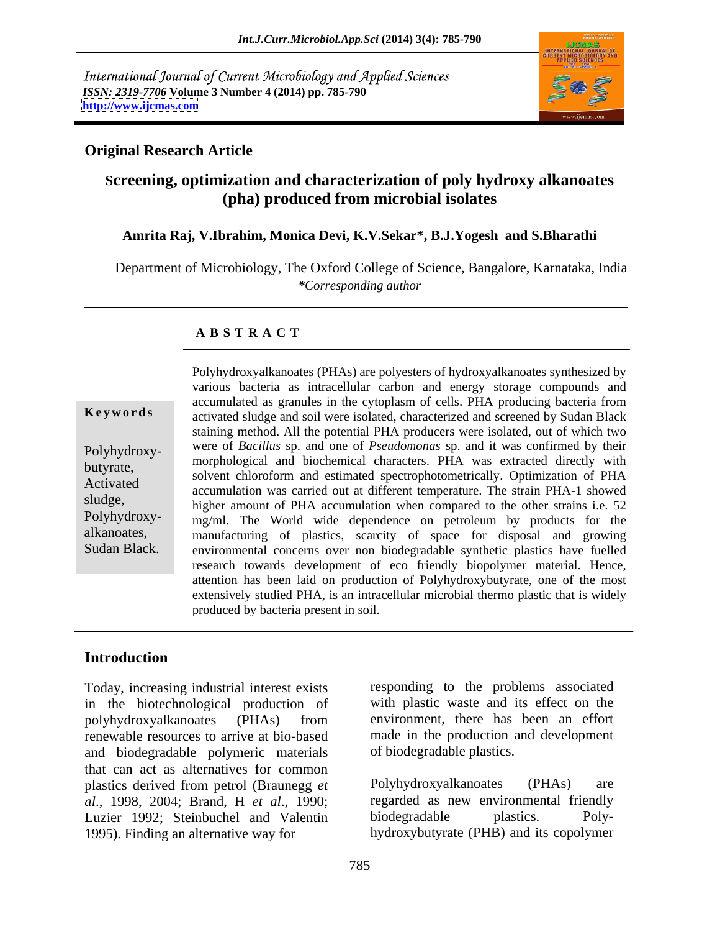International Journal of Current Microbiology and Applied Sciences *ISSN: 2319-7706* **Volume 3 Number 4 (2014) pp. 785-790 <http://www.ijcmas.com>**



## **Original Research Article**

# **Screening, optimization and characterization of poly hydroxy alkanoates (pha) produced from microbial isolates**

## **Amrita Raj, V.Ibrahim, Monica Devi, K.V.Sekar\*, B.J.Yogesh and S.Bharathi**

Department of Microbiology, The Oxford College of Science, Bangalore, Karnataka, India *\*Corresponding author*

### **A B S T R A C T**

**Keywords** activated sludge and soil were isolated, characterized and screened by Sudan Black Polyhydroxy- were of *Bacillus* sp. and one of *Pseudomonas* sp. and it was confirmed by their butyrate,<br>
solvent chloroform and estimated spectrophotometrically. Optimization of PHA Activated solvent emotion and estimated spectrophotometrically. Optimization of TTA accumulation was carried out at different temperature. The strain PHA-1 showed sludge,<br>higher amount of PHA accumulation when compared to the other strains i.e. 52 Polyhydroxy- mg/ml. The World wide dependence on petroleum by products for the alkanoates, manufacturing of plastics, scarcity of space for disposal and growing Sudan Black. environmental concerns over non biodegradable synthetic plastics have fuelled Polyhydroxyalkanoates (PHAs) are polyesters of hydroxyalkanoates synthesized by various bacteria as intracellular carbon and energy storage compounds and accumulated as granules in the cytoplasm of cells. PHA producing bacteria from staining method. All the potential PHA producers were isolated, out of which two morphological and biochemical characters. PHA was extracted directly with research towards development of eco friendly biopolymer material. Hence, attention has been laid on production of Polyhydroxybutyrate, one of the most extensively studied PHA, is an intracellular microbial thermo plastic that is widely produced by bacteria present in soil.

## **Introduction**

Today, increasing industrial interest exists in the biotechnological production of polyhydroxyalkanoates (PHAs) from renewable resources to arrive at bio-based and biodegradable polymeric materials that can act as alternatives for common plastics derived from petrol (Braunegg *et al*., 1998, 2004; Brand, H *et al*., 1990; Luzier 1992; Steinbuchel and Valentin biodegradable plastics. Poly-1995). Finding an alternative way for hydroxybutyrate (PHB) and its copolymer

responding to the problems associated with plastic waste and its effect on the environment, there has been an effort made in the production and development of biodegradable plastics.

Polyhydroxyalkanoates regarded as new environmental friendly biodegradable plastics. Poly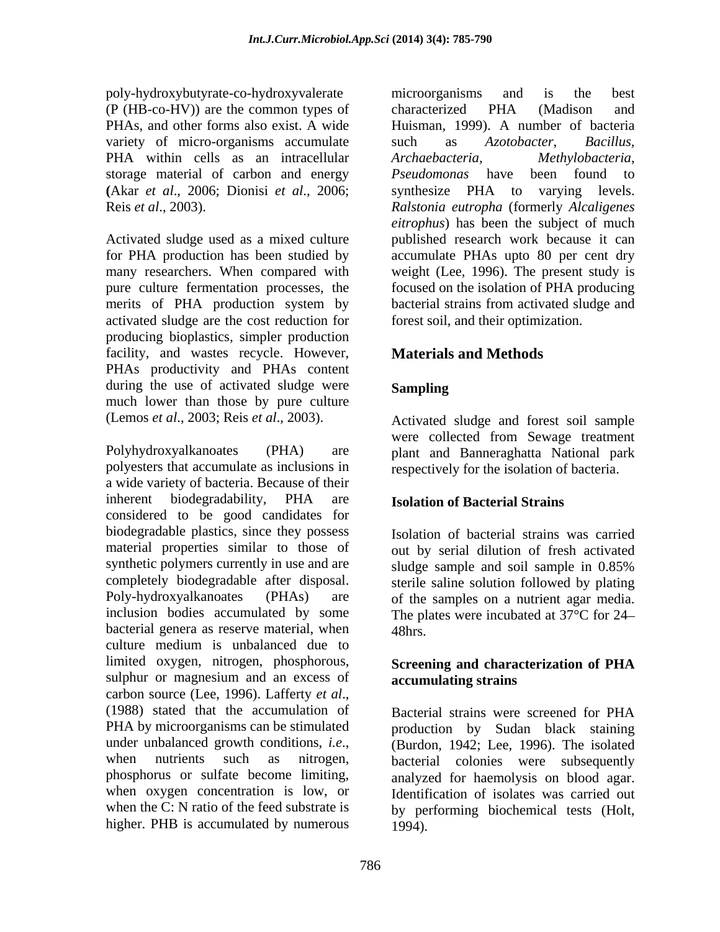poly-hydroxybutyrate-co-hydroxyvalerate (P (HB-co-HV)) are the common types of variety of micro-organisms accumulate such as Azotobacter, Bacillus, PHA within cells as an intracellular *Archaebacteria*, storage material of carbon and energy Pseudomonas have been found to

activated sludge are the cost reduction for producing bioplastics, simpler production facility, and wastes recycle. However, **Materials and Methods** PHAs productivity and PHAs content during the use of activated sludge were **Sampling** much lower than those by pure culture

Polyhydroxyalkanoates (PHA) are plant and Banneraghatta National park polyesters that accumulate as inclusions in a wide variety of bacteria. Because of their inherent biodegradability, PHA are **Isolation of Bacterial Strains** considered to be good candidates for biodegradable plastics, since they possess material properties similar to those of out by serial dilution of fresh activated synthetic polymers currently in use and are sludge sample and soil sample in 0.85% completely biodegradable after disposal. sterile saline solution followed by plating Poly-hydroxyalkanoates (PHAs) are of the samples on a nutrient agar media. inclusion bodies accumulated by some The plates were incubated at 37°C for 24 bacterial genera as reserve material, when  $48 \text{hrs}$ . culture medium is unbalanced due to limited oxygen, nitrogen, phosphorous, sulphur or magnesium and an excess of carbon source (Lee, 1996). Lafferty *et al*.,<br>(1988) stated that the accumulation of Bacterial strains were screened for PHA PHA by microorganisms can be stimulated by production by Sudan black staining under unbalanced growth conditions, *i.e.*,<br>when nutrients such as nitrogen, bacterial colonies were subsequently phosphorus or sulfate become limiting, analyzed for haemolysis on blood agar. when oxygen concentration is low, or Identification of isolates was carried out when the C: N ratio of the feed substrate is by performing biochemical tests (Holt, higher. PHB is accumulated by numerous

PHAs, and other forms also exist. A wide Huisman, 1999). A number of bacteria **(**Akar *et al*., 2006; Dionisi *et al*., 2006; synthesize PHA to varying levels. Reis *et al*., 2003). *Ralstonia eutropha* (formerly *Alcaligenes* Activated sludge used as a mixed culture published research work because it can for PHA production has been studied by accumulate PHAs upto 80 per cent dry many researchers. When compared with weight (Lee, 1996). The present study is pure culture fermentation processes, the focused on the isolation of PHA producing merits of PHA production system by bacterial strains from activated sludge and microorganisms and is the best characterized PHA (Madison and Huisman, 1999). A number of bacteria such as *Azotobacter*, *Bacillus, Archaebacteria, Methylobacteria*, *Pseudomonas* have been found to *eitrophus*) has been the subject of much forest soil, and their optimization.

# **Materials and Methods**

# **Sampling**

(Lemos *et al*., 2003; Reis *et al*., 2003). Activated sludge and forest soil sample were collected from Sewage treatment respectively for the isolation of bacteria.

# **Isolation of Bacterial Strains**

Isolation of bacterial strains was carried sludge sample and soil sample in 0.85% 48hrs.

## **Screening and characterization of PHA accumulating strains**

Bacterial strains were screened for PHA (Burdon, 1942; Lee, 1996). The isolated bacterial colonies were subsequently 1994).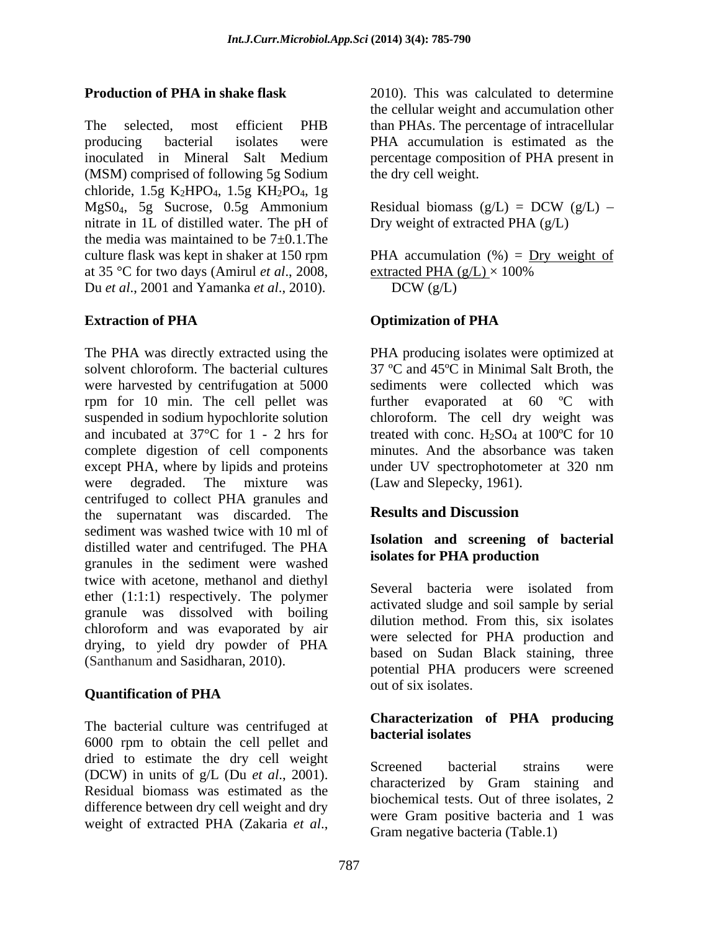The selected, most efficient PHB than PHAs. The percentage of intracellular producing bacterial isolates were PHA accumulation is estimated as the inoculated in Mineral Salt Medium (MSM) comprised of following 5g Sodium chloride, 1.5g K<sub>2</sub>HPO<sub>4</sub>, 1.5g KH<sub>2</sub>PO<sub>4</sub>, 1g MgS0<sub>4</sub>, 5g Sucrose, 0.5g Ammonium Residual biomass  $(g/L) = DCW (g/L)$  – nitrate in 1L of distilled water. The pH of the media was maintained to be  $7\pm0.1$ . The culture flask was kept in shaker at 150 rpm  $PHA$  accumulation  $(\%) = \underline{Dry}$  weight of at 35 °C for two days (Amirul *et al.*, 2008, extracted PHA  $(g/L) \times 100\%$ Du *et al*., 2001 and Yamanka *et al*., 2010).

The PHA was directly extracted using the PHA producing isolates were optimized at solvent chloroform. The bacterial cultures 37 ºC and 45ºC in Minimal Salt Broth, the were harvested by centrifugation at 5000 sediments were collected which was rpm for 10 min. The cell pellet was further evaporated at 60 ºC with suspended in sodium hypochlorite solution chloroform. The cell dry weight was and incubated at 37 $^{\circ}$ C for 1 - 2 hrs for treated with conc. H<sub>2</sub>SO<sub>4</sub> at 100 $^{\circ}$ C for 10 complete digestion of cell components except PHA, where by lipids and proteins under UV spectrophotometer at 320 nm were degraded. The mixture was (Law and Slepecky, 1961). centrifuged to collect PHA granules and<br>the supernatant was discarded The **Results and Discussion** the supernatant was discarded. The sediment was washed twice with 10 ml of distilled water and centrifuged. The PHA granules in the sediment were washed twice with acetone, methanol and diethyl ether (1:1:1) respectively. The polymer granule was dissolved with boiling acuvated studies and solution sample by serial chloroform and was evaporated by air drying, to yield dry powder of PHA (Santhanum and Sasidharan, 2010). Eased on Budan Black stanning, tince

# **Quantification of PHA**

The bacterial culture was centrifuged at **Characterization** 6000 rpm to obtain the cell pellet and dried to estimate the dry cell weight Screened bacterial strains were (DCW) in units of g/L (Du *et al*., 2001). Residual biomass was estimated as the difference between dry cell weight and dry weight of extracted PHA (Zakaria *et al*.,

**Production of PHA in shake flask** 2010). This was calculated to determine the cellular weight and accumulation other percentage composition of PHA present in the dry cell weight.

> Residual biomass  $(g/L) = DCW (g/L) -$ Dry weight of extracted PHA (g/L)

extracted PHA (g/L)  $\times$  100%  $DCW(g/L)$ 

### **Extraction of PHA Optimization of PHA**

minutes. And the absorbance was taken

# **Results and Discussion**

### **Isolation and screening of bacterial isolates for PHA production**

Several bacteria were isolated from activated sludge and soil sample by serial dilution method. From this, six isolates were selected for PHA production and based on Sudan Black staining, three potential PHA producers were screened out of six isolates.

### **Characterization of PHA producing bacterial isolates**

Screened bacterial strains were characterized by Gram staining and biochemical tests. Out of three isolates, 2 were Gram positive bacteria and 1 was Gram negative bacteria (Table.1)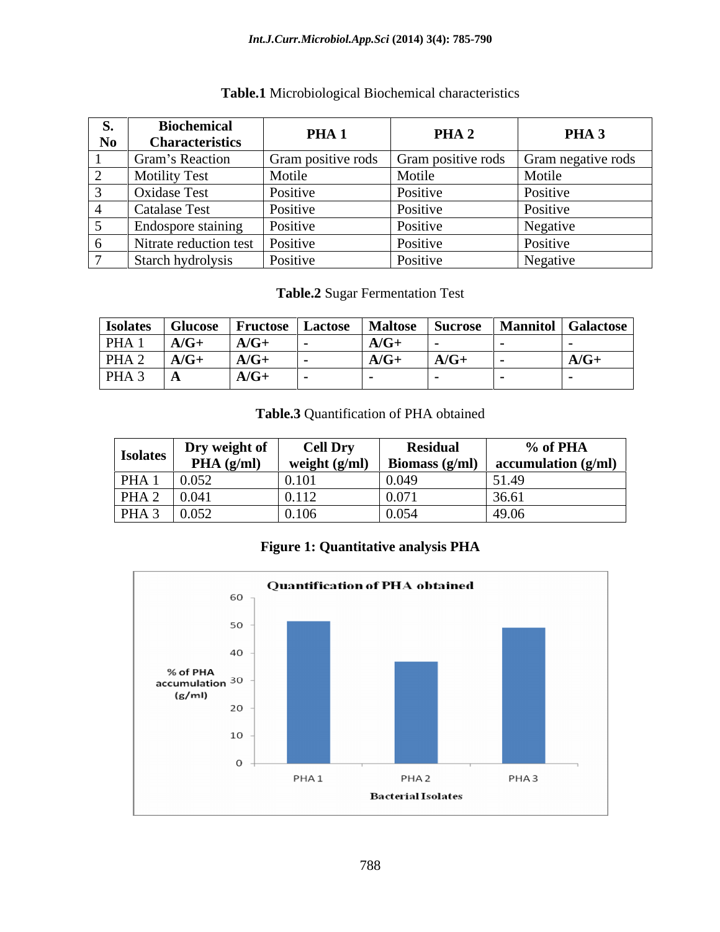### *Int.J.Curr.Microbiol.App.Sci* **(2014) 3(4): 785-790**

| <b>Biochemical</b><br><b>Characteristics</b> | PHA <sub>1</sub>   | PHA <sub>2</sub>   | PHA <sub>3</sub>   |
|----------------------------------------------|--------------------|--------------------|--------------------|
| <b>Gram's Reaction</b>                       | Gram positive rods | Gram positive rods | Gram negative rods |
| <b>Motility Test</b>                         | Motile             | Motile             | Motile             |
| <b>Oxidase Test</b>                          | Positive           | Positive           | Positive           |
| Catalase Test                                | Positive           | Positive           | Positive           |
| Endospore staining                           | <i>Positive</i>    | Positive           | Negative           |
| Nitrate reduction test   Positive            |                    | Positive           | Positive           |
| Starch hydrolysis                            | Positive           | Positive           | Negative           |

# **Table.1** Microbiological Biochemical characteristics

**Table.2** Sugar Fermentation Test

| <b>Isolates</b>  | <b>Glucose</b> | <b>Fructose</b>   Lactose |                       | Maltose   Sucrose | Mannitol   Galactose |                                        |
|------------------|----------------|---------------------------|-----------------------|-------------------|----------------------|----------------------------------------|
| PHA <sub>1</sub> | $A/G+$         | $A/G+$                    | $\sqrt{2}$<br>$A/G^+$ |                   |                      |                                        |
| PHA <sub>2</sub> | $A/G+$         | $A/G+$                    | $\sqrt{2}$<br>A/G     | $A/G+$            |                      | $\mathbf{A}$ $\mathbf{A}$ .<br>$A/G^+$ |
| PHA <sub>3</sub> | $\mathbf{L}$   | $A/G+$                    |                       |                   |                      |                                        |

### **Table.3** Quantification of PHA obtained

| <b>Isolates</b>  | Dry weight of | <b>Cell Dry</b> | <b>Residual</b>  | % of PHA                     |
|------------------|---------------|-----------------|------------------|------------------------------|
|                  | PHA(g/ml)     | weight $(g/ml)$ | Biomass $(g/ml)$ | $\alpha$ accumulation (g/ml) |
| PHA <sub>1</sub> | $\pm 0.05$    | 0.10            | 10.045           |                              |
| PHA <sub>2</sub> | 0.041         | 0.112           | 0.071            | 36.61                        |
| PHA <sub>3</sub> | 0.052         | 0.106           | 0.05             | 49.06                        |

# **Figure 1: Quantitative analysis PHA**

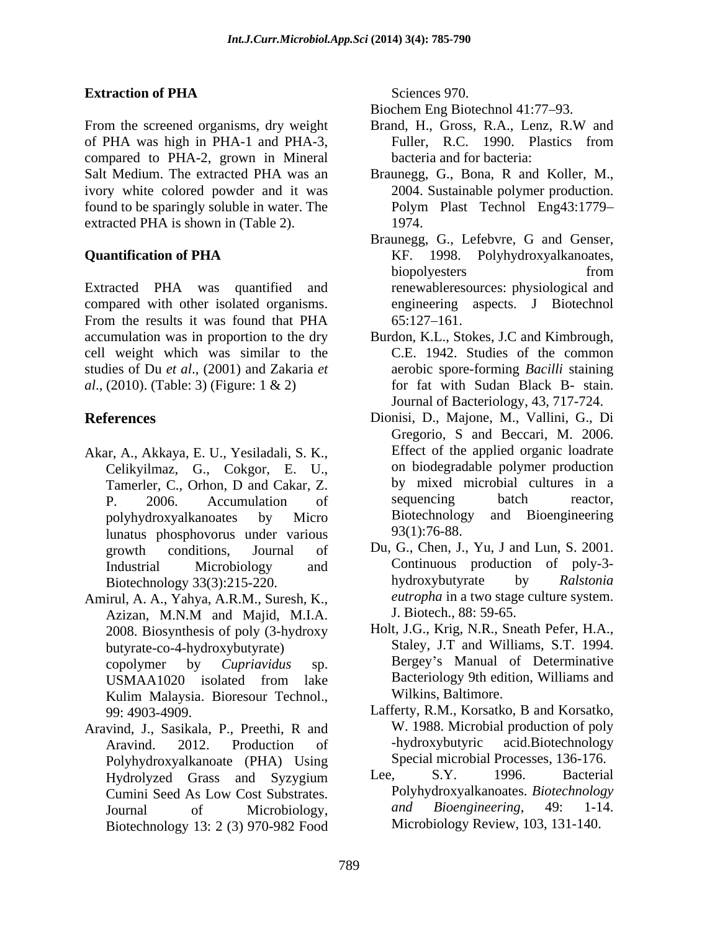# **Extraction of PHA** Sciences 970.

From the screened organisms, dry weight Brand, H., Gross, R.A., Lenz, R.W and of PHA was high in PHA-1 and PHA-3, compared to PHA-2, grown in Mineral Salt Medium. The extracted PHA was an Braunegg, G., Bona, R and Koller, M., ivory white colored powder and it was found to be sparingly soluble in water. The extracted PHA is shown in (Table 2). 1974.

Extracted PHA was quantified and renewableresources: physiological and compared with other isolated organisms. From the results it was found that PHA 65:127-161. accumulation was in proportion to the dry Burdon, K.L., Stokes, J.C and Kimbrough, cell weight which was similar to the studies of Du *et al*., (2001) and Zakaria *et al*., (2010). (Table: 3) (Figure: 1 & 2) for fat with Sudan Black B- stain.

- Akar, A., Akkaya, E. U., Yesiladali, S. K., Celikyilmaz, G., Cokgor, E. U., lunatus phosphovorus under various
- Amirul, A. A., Yahya, A.R.M., Suresh, K., Azizan, M.N.M and Majid, M.I.A. J. Biotech., 88: 59-65. 2008. Biosynthesis of poly (3-hydroxy butyrate-co-4-hydroxybutyrate) Kulim Malaysia. Bioresour Technol.,
- Aravind, J., Sasikala, P., Preethi, R and W. 1988. Microbial production of poly<br>Aravind 2012. Production of hydroxybutyric acid.Biotechnology Polyhydroxyalkanoate (PHA) Using Special microbial Processes, 136-176.<br>Hydrolyzed Grass and Syzygium Lee, S.Y. 1996. Bacterial Hydrolyzed Grass and Syzygium Biotechnology 13: 2 (3) 970-982 Food

Sciences 970.

Biochem Eng Biotechnol 41:77–93.

- Brand, H., Gross, R.A., Lenz, R.W and Fuller, R.C. 1990. Plastics from bacteria and for bacteria:
- 2004. Sustainable polymer production. Polym Plast Technol Eng43:1779 1974.
- **Quantification of PHA** KF. 1998. Polyhydroxyalkanoates, Braunegg, G., Lefebvre, G and Genser, KF. 1998. Polyhydroxyalkanoates, biopolyesters from from engineering aspects. J Biotechnol 65:127 161.
	- C.E. 1942. Studies of the common aerobic spore-forming *Bacilli* staining Journal of Bacteriology, 43, 717-724.
- **References** Dionisi, D., Majone, M., Vallini, G., Di Tamerler, C., Orhon, D and Cakar, Z. by mixed microbial cultures in a P. 2006. Accumulation of sequencing batch reactor, polyhydroxyalkanoates by Micro Biotechnology and Bioengineering Gregorio, S and Beccari, M. 2006. Effect of the applied organic loadrate on biodegradable polymer production by mixed microbial cultures in a sequencing batch reactor, 93(1):76-88.
	- growth conditions, Journal of Du, G., Chen, J., Yu, J and Lun, S. 2001. Industrial Microbiology and Continuous production of poly-3- Biotechnology 33(3):215-220. hydroxybutyrate by Ralstonia hydroxybutyrate by *Ralstonia eutropha* in a two stage culture system. J. Biotech., 88: 59-65.
	- copolymer by *Cupriavidus* sp. Bergey's Manual of Determinative USMAA1020 isolated from lake Bacteriology 9th edition, Williams and Holt, J.G., Krig, N.R., Sneath Pefer, H.A., Staley, J.T and Williams, S.T. 1994. Bacteriology 9th edition, Williams and Wilkins, Baltimore.
	- 99: 4903-4909. Lafferty, R.M., Korsatko, B and Korsatko, Aravind. 2012. Production of -hydroxybutyric acid.Biotechnology W. 1988. Microbial production of poly -hydroxybutyric acid.Biotechnology Special microbial Processes, 136-176.
	- Cumini Seed As Low Cost Substrates. Polyhydroxyalkanoates. *Biotechnology*<br>
	Iournal of Microbiology and Bioengineering, 49: 1-14. Journal of Microbiology, and Bioengineering, 49: 1-14. Lee, S.Y. 1996. Bacterial Polyhydroxyalkanoates. *Biotechnology and Bioengineering*, 49: 1-14. Microbiology Review, 103, 131-140.